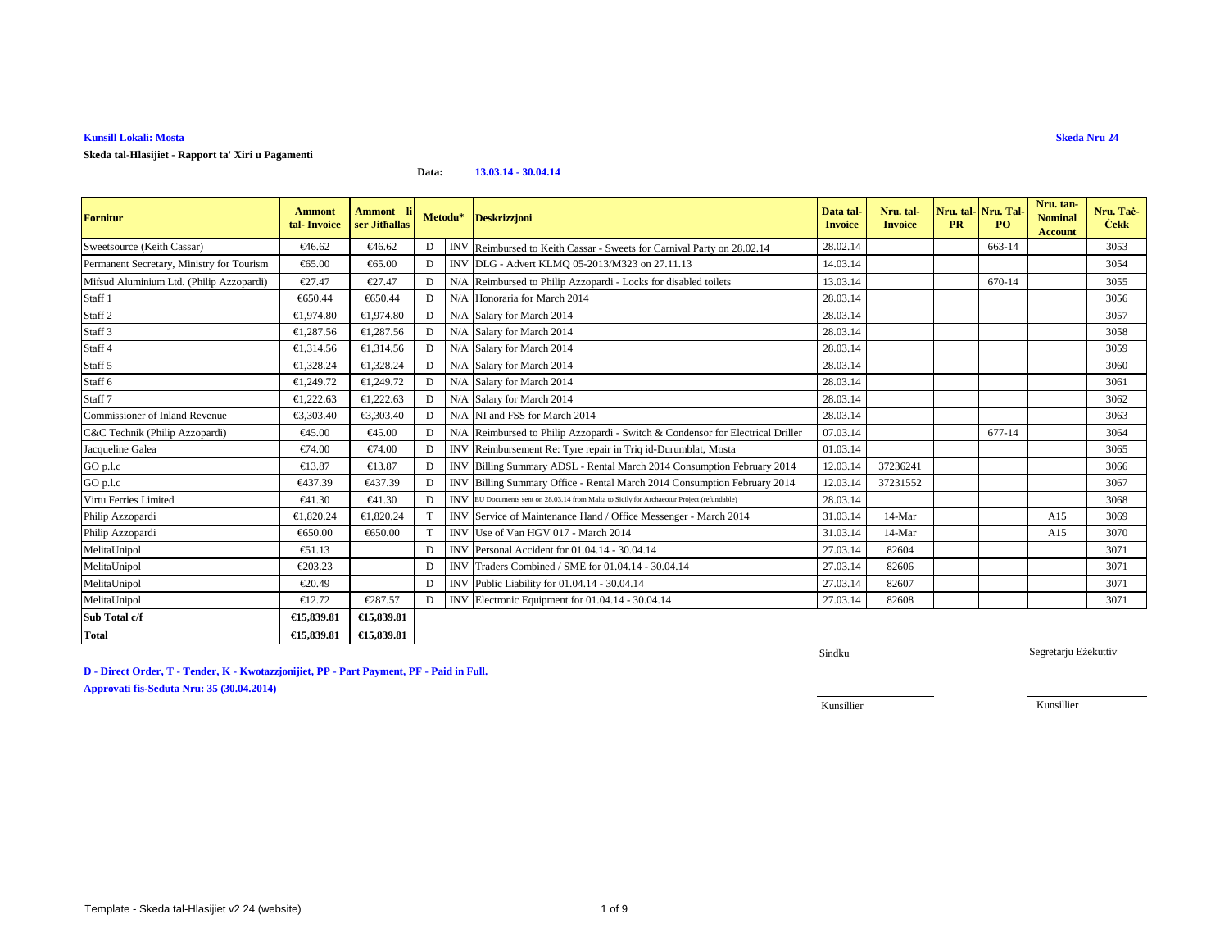### **Skeda tal-Ħlasijiet - Rapport ta' Xiri u Pagamenti**

**Data:13.03.14 - 30.04.14**

| <b>Fornitur</b>                           | <b>Ammont</b><br>tal-Invoice | <b>Ammont</b><br>ser Jithallas | Metodu*      |            | <b>Deskrizzjoni</b>                                                                              | Data tal-<br><b>Invoice</b> | Nru. tal-<br><b>Invoice</b> | <b>PR</b> | Nru. tal-Nru. Tal<br>PO <sub>1</sub> | Nru. tan-<br><b>Nominal</b><br><b>Account</b> | Nru. Tač<br><b>Cekk</b> |
|-------------------------------------------|------------------------------|--------------------------------|--------------|------------|--------------------------------------------------------------------------------------------------|-----------------------------|-----------------------------|-----------|--------------------------------------|-----------------------------------------------|-------------------------|
| Sweetsource (Keith Cassar)                | €46.62                       | €46.62                         | D            |            | INV Reimbursed to Keith Cassar - Sweets for Carnival Party on 28.02.14                           | 28.02.14                    |                             |           | 663-14                               |                                               | 3053                    |
| Permanent Secretary, Ministry for Tourism | $\epsilon$ 65.00             | €65.00                         | D            |            | INV DLG Advert KLMQ 05-2013/M323 on 27.11.13                                                     | 14.03.14                    |                             |           |                                      |                                               | 3054                    |
| Mifsud Aluminium Ltd. (Philip Azzopardi)  | €27.47                       | €27.47                         | D            |            | N/A Reimbursedo Philip Azzopardi - Locks for disabled toilets                                    | 13.03.14                    |                             |           | 670-14                               |                                               | 3055                    |
| Staff 1                                   | €650.44                      | €650.44                        | D            |            | N/A Honoraria for March 2014                                                                     | 28.03.14                    |                             |           |                                      |                                               | 3056                    |
| Staff <sub>2</sub>                        | €1.974.80                    | €1.974.80                      | D            |            | N/A Salary for March 2014                                                                        | 28.03.14                    |                             |           |                                      |                                               | 3057                    |
| Staff 3                                   | €1,287.56                    | €1,287.56                      | D            |            | N/A Salary for March 2014                                                                        | 28.03.14                    |                             |           |                                      |                                               | 3058                    |
| Staff 4                                   | €1,314.56                    | €1,314.56                      | D            |            | N/A Salary for March 2014                                                                        | 28.03.14                    |                             |           |                                      |                                               | 3059                    |
| Staff 5                                   | €1.328.24                    | €1,328.24                      | D            |            | N/A Salary for March 2014                                                                        | 28.03.14                    |                             |           |                                      |                                               | 3060                    |
| Staff <sub>6</sub>                        | €1.249.72                    | €1.249.72                      | D            |            | N/A Salary for March 2014                                                                        | 28.03.14                    |                             |           |                                      |                                               | 3061                    |
| Staff <sub>7</sub>                        | €1,222.63                    | €1.222.63                      | $\mathbf{D}$ |            | N/A Salary for March 2014                                                                        | 28.03.14                    |                             |           |                                      |                                               | 3062                    |
| Commissioner of Inland Revenue            | €3,303.40                    | €3,303.40                      | D            |            | N/A NI and FSS for Mach 2014                                                                     | 28.03.14                    |                             |           |                                      |                                               | 3063                    |
| C&C Technik (Philip Azzopardi)            | €45.00                       | €45.00                         | D            | N/A        | Reimbursed to Philip Azopardi - Switch & Condensor for Electrical Driller                        | 07.03.14                    |                             |           | 677-14                               |                                               | 3064                    |
| Jacqueline Galea                          | €74.00                       | €74.00                         | D            |            | INV Reimbursement Re: Tyre repairin Triq id-Durumblat, Mosta                                     | 01.03.14                    |                             |           |                                      |                                               | 3065                    |
| GO p.l.c                                  | €13.87                       | €13.87                         | D            |            | INV Billing Summary ADSL - Rental March 2014 Consumpton February 2014                            | 12.03.14                    | 37236241                    |           |                                      |                                               | 3066                    |
| GO p.l.c                                  | €437.39                      | €437.39                        | D            | <b>INV</b> | Billing Summary Office - Rental March 2014 Consumption February 2014                             | 12.03.14                    | 37231552                    |           |                                      |                                               | 3067                    |
| Virtu Ferries Limited                     | $\epsilon$ 41.30             | €41.30                         | $\mathbf{D}$ |            | <b>INVEU</b> Documents sent on 28.03.14 from Malta to Sicily for Archaeotur Project (refundable) | 28.03.14                    |                             |           |                                      |                                               | 3068                    |
| Philip Azzopardi                          | €1,820.24                    | €1,820.24                      | T            |            | INV Service of Maintenance Hand / Office Messenger - March 2014                                  | 31.03.14                    | $14-Mar$                    |           |                                      | A15                                           | 3069                    |
| Philip Azzopardi                          | €650.00                      | €650.00                        | T            |            | INV Use of Van HGV 017 - March 2014                                                              | 31.03.14                    | 14-Mar                      |           |                                      | A15                                           | 3070                    |
| MelitaUnipol                              | $\epsilon$ 51.13             |                                | D            |            | INV Personal Accident for 01.04.14 - 30.04.14                                                    | 27.03.14                    | 82604                       |           |                                      |                                               | 3071                    |
| MelitaUnipol                              | €203.23                      |                                | D            | <b>INV</b> | Traders Combined / SME for 01.04.14 - 30.04.14                                                   | 27.03.14                    | 82606                       |           |                                      |                                               | 3071                    |
| MelitaUnipol                              | €20.49                       |                                | D            |            | INV Public Liability for 01.04.14 - 30.04.14                                                     | 27.03.14                    | 82607                       |           |                                      |                                               | 3071                    |
| MelitaUnipol                              | €12.72                       | €287.57                        | D            |            | INV Electronic Equipment for 01.04.14 - 30.04.14                                                 | 27.03.14                    | 82608                       |           |                                      |                                               | 3071                    |
| Sub Total c/f                             | €15,839.81                   | €15,839.81                     |              |            |                                                                                                  |                             |                             |           |                                      |                                               |                         |
| <b>Total</b>                              | €15,839.81                   | €15,839.81                     |              |            |                                                                                                  |                             |                             |           |                                      |                                               |                         |

**D - Direct Order, T - Tender, K - Kwotazzjonijiet, PP - Part Payment, PF - Paid in Full. Approvati fis-Seduta Nru: 35 (30.04.2014)**

Sindku

Segretarju Eżekuttiv

Kunsillier

Kunsillier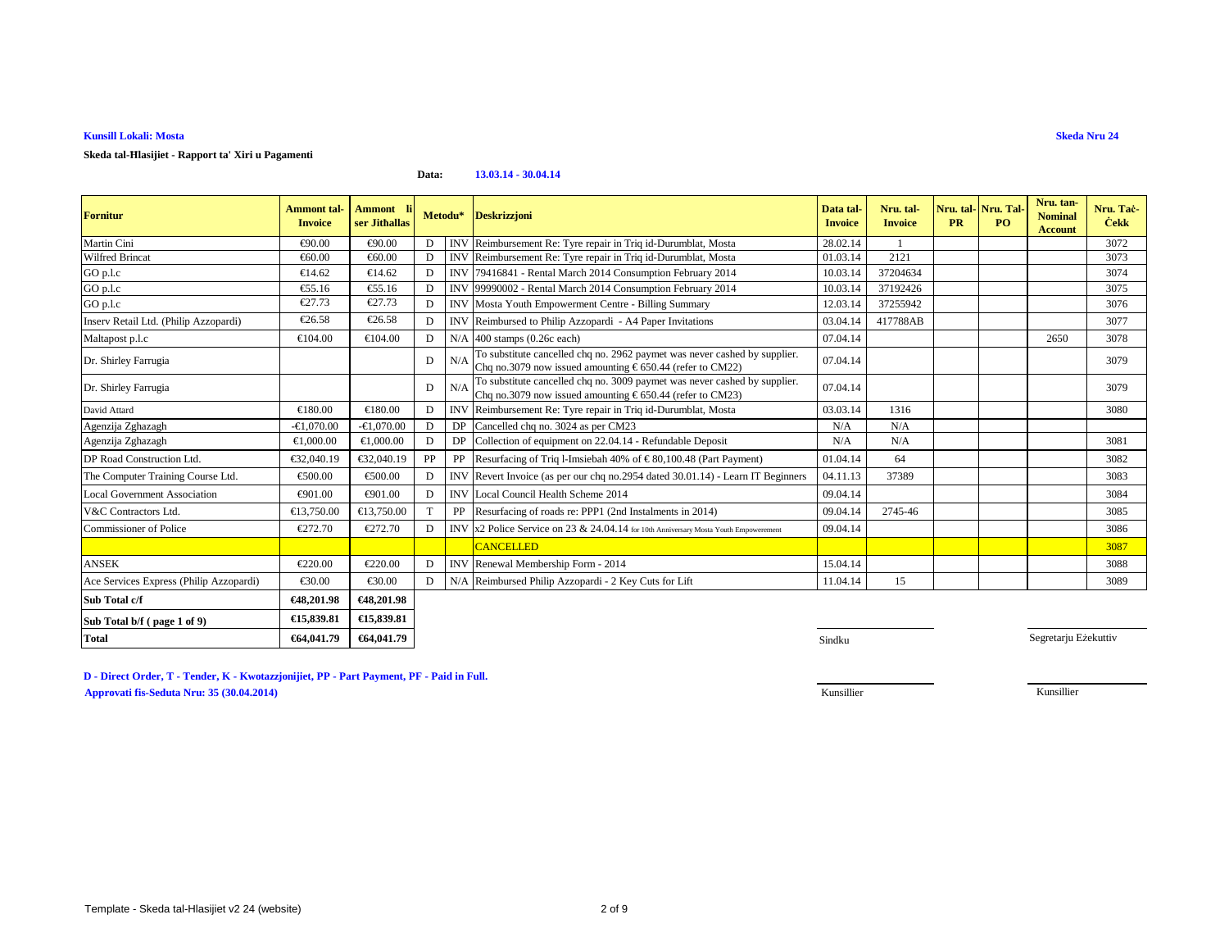### **Skeda tal-Ħlasijiet - Rapport ta' Xiri u Pagamenti**

#### **Data:13.03.14 - 30.04.14**

| <b>Fornitur</b>                         | <b>Ammont</b> tal-<br><b>Invoice</b> | Ammont li<br>ser Jithallas |              |            | Metodu* Deskrizzjoni                                                                                                                            | Data tal-<br><b>Invoice</b> | Nru. tal-<br><b>Invoice</b> | <b>PR</b> | Nru. tal-Nru. Tal<br>PO. | Nru. tan-<br><b>Nominal</b><br><b>Account</b> | Nru. Tač-<br><b>Cekk</b> |
|-----------------------------------------|--------------------------------------|----------------------------|--------------|------------|-------------------------------------------------------------------------------------------------------------------------------------------------|-----------------------------|-----------------------------|-----------|--------------------------|-----------------------------------------------|--------------------------|
| Martin Cini                             | €90.00                               | €90.00                     | D            | <b>INV</b> | Reimbursement Re: Tyre repair in Tiq id-Durumblat, Mosta                                                                                        | 28.02.14                    |                             |           |                          |                                               | 3072                     |
| <b>Wilfred Brincat</b>                  | €60.00                               | €60.00                     | D            |            | INV Reimbursement Re: Tyre repair in Triq id-Durumblat, Mosta                                                                                   | 01.03.14                    | 2121                        |           |                          |                                               | 3073                     |
| GO p.l.c                                | €14.62                               | €14.62                     | D            | <b>INV</b> | 79416841 - Rental March 2014 Consumption February 2014                                                                                          | 10.03.14                    | 37204634                    |           |                          |                                               | 3074                     |
| GO p.l.c                                | $\epsilon$ 55.16                     | €55.16                     | D            |            | INV 99990002 - Rental March 2014 Consumption February 2014                                                                                      | 10.03.14                    | 37192426                    |           |                          |                                               | 3075                     |
| GO p.l.c                                | €27.73                               | €27.73                     | $\mathbf D$  |            | <b>INV</b> Mosta Youth Empowerment Centre - Billing Summary                                                                                     | 12.03.14                    | 37255942                    |           |                          |                                               | 3076                     |
| Inserv Retail Ltd. (Philip Azzopardi)   | €26.58                               | €26.58                     | D            |            | INV Reimbursed to Philip Azzopardi - A4 Paper Invitations                                                                                       | 03.04.14                    | 417788AB                    |           |                          |                                               | 3077                     |
| Maltapost p.l.c                         | €104.00                              | €104.00                    | $\mathbf{D}$ | N/A        | $400$ stamps $(0.26c$ each)                                                                                                                     | 07.04.14                    |                             |           |                          | 2650                                          | 3078                     |
| Dr. Shirley Farrugia                    |                                      |                            | D            | N/A        | To substitute cancelled chq no. 2962 paymet was never cashed by supplier.<br>Chq no.3079 now issued amounting $\epsilon$ 650.44 (refer to CM22) | 07.04.14                    |                             |           |                          |                                               | 3079                     |
| Dr. Shirley Farrugia                    |                                      |                            | D            | N/A        | To substitute cancelled chq no. 3009 paymet was never cashed by supplier.<br>Chq no.3079 now issued amounting $\epsilon$ 650.44 (refer to CM23) | 07.04.14                    |                             |           |                          |                                               | 3079                     |
| David Attard                            | €180.00                              | €180.00                    | D            | <b>INV</b> | Reimbursement Re: Tyre repair in Triq id-Durumbit, Mosta                                                                                        | 03.03.14                    | 1316                        |           |                          |                                               | 3080                     |
| Agenzija Zghazagh                       | $-61.070.00$                         | $-€1,070.00$               | D            |            | DP Cancelled chq no. 3024 as per CM23                                                                                                           | N/A                         | N/A                         |           |                          |                                               |                          |
| Agenzija Zghazagh                       | €1,000.00                            | €1,000.00                  | D            | DP         | Collection of equipment on 22.04.14 Refundable Deposit                                                                                          | N/A                         | N/A                         |           |                          |                                               | 3081                     |
| DP Road Construction Ltd.               | €32,040.19                           | €32,040.19                 | PP           | PP         | Resurfacing of Triq 1-majesiah 40% of $\in$ 80,100.48 (Part Payment)                                                                            | 01.04.14                    | 64                          |           |                          |                                               | 3082                     |
| The Computer Training Course Ltd.       | €500.00                              | €500.00                    | D            | <b>INV</b> | Revert Invoice(as per our chq no.2954 dated 30.01.14) - Learn IT Beginners                                                                      | 04.11.13                    | 37389                       |           |                          |                                               | 3083                     |
| <b>Local Government Association</b>     | €901.00                              | €901.00                    | D            | <b>INV</b> | Local Council HealthScheme 2014                                                                                                                 | 09.04.14                    |                             |           |                          |                                               | 3084                     |
| V&C Contractors Ltd.                    | €13,750.00                           | €13,750.00                 |              | PP         | Resurfacing of roads re: PPP (2nd Instalments in 2014)                                                                                          | 09.04.14                    | 2745-46                     |           |                          |                                               | 3085                     |
| Commissioner of Police                  | €272.70                              | €272.70                    | D            | <b>INV</b> | x2 Police Service on 23 & 24.04.14 or 10th Anniversary Mosta Youth Empowerement                                                                 | 09.04.14                    |                             |           |                          |                                               | 3086                     |
|                                         |                                      |                            |              |            | <b>CANCELLED</b>                                                                                                                                |                             |                             |           |                          |                                               | 3087                     |
| <b>ANSEK</b>                            | €220.00                              | €220.00                    | D            | <b>INV</b> | Renewal Membership Form - 2014                                                                                                                  | 15.04.14                    |                             |           |                          |                                               | 3088                     |
| Ace Services Express (Philip Azzopardi) | €30.00                               | €30.00                     | D            | N/A        | ReimbursedPhilip Azzopardi - 2 Key Cuts for Lift                                                                                                | 11.04.14                    | 15                          |           |                          |                                               | 3089                     |
| Sub Total c/f                           | €48,201.98                           | €48,201.98                 |              |            |                                                                                                                                                 |                             |                             |           |                          |                                               |                          |
| Sub Total b/f (page 1 of 9)             | €15,839.81                           | €15,839.81                 |              |            |                                                                                                                                                 |                             |                             |           |                          |                                               |                          |
| <b>Total</b>                            | €64,041.79                           | €64,041.79                 |              |            |                                                                                                                                                 | Sindku                      |                             |           |                          | Segretarju Eżekuttiv                          |                          |

**D - Direct Order, T - Tender, K - Kwotazzjonijiet, PP - Part Payment, PF - Paid in Full.Approvati fis-Seduta Nru: 35 (30.04.2014)**en de la constantin de la constantin de la constantin de la constantin de la constantin de la constantin de la constantin de la constantin de la constantin de la constantin de la constantin de la constantin de la constanti

Kunsillier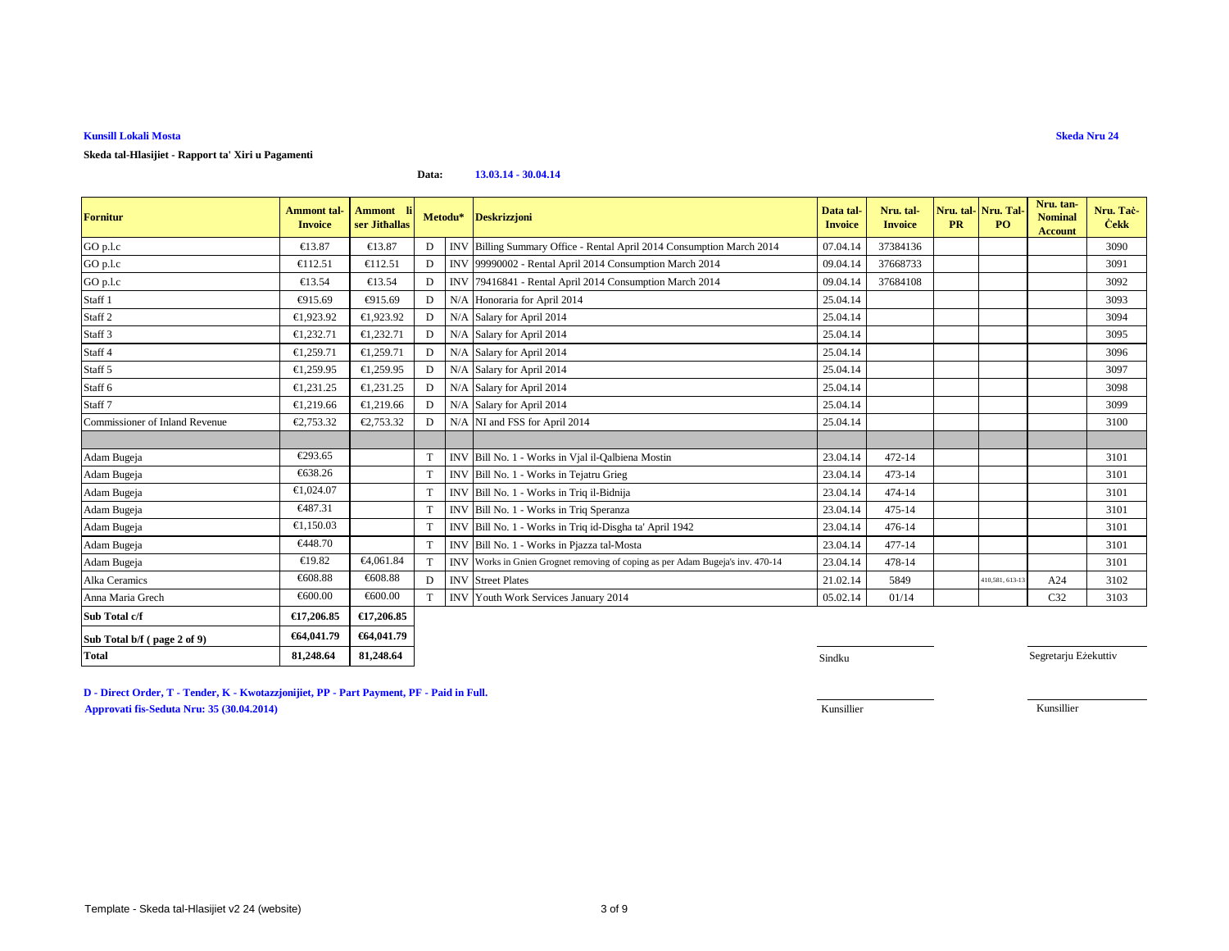### **Skeda tal-Hlasijiet - Rapport ta' Xiri u Pagamenti**

#### **Data:13.03.14 - 30.04.14**

| <b>Fornitur</b>                | <b>Ammont tal-</b><br><b>Invoice</b> | Ammont li<br>ser Jithallas |   | Metodu*    | <b>Deskrizzjoni</b>                                                            | Data tal-<br><b>Invoice</b> | Nru. tal-<br><b>Invoice</b> | <b>PR</b> | Nru. tal-Nru. Tal-<br>PO. | Nru. tan-<br><b>Nominal</b><br><b>Account</b> | Nru. Tač<br><b>Cekk</b> |
|--------------------------------|--------------------------------------|----------------------------|---|------------|--------------------------------------------------------------------------------|-----------------------------|-----------------------------|-----------|---------------------------|-----------------------------------------------|-------------------------|
| GO p.l.c                       | €13.87                               | €13.87                     | D | <b>INV</b> | Billing Summary Office - Rental April 2014 Consumption March 2014              | 07.04.14                    | 37384136                    |           |                           |                                               | 3090                    |
| GO p.l.c                       | €112.51                              | €112.51                    | D | <b>INV</b> | 99990002 - Rental April 2014 Consumption March 2014                            | 09.04.14                    | 37668733                    |           |                           |                                               | 3091                    |
| GO p.l.c                       | €13.54                               | €13.54                     | D | <b>INV</b> | 79416841 - Rental April 2014 Consumption March 2014                            | 09.04.14                    | 37684108                    |           |                           |                                               | 3092                    |
| Staff <sub>1</sub>             | €915.69                              | €915.69                    | D | N/A        | Honoraria for April 2014                                                       | 25.04.14                    |                             |           |                           |                                               | 3093                    |
| Staff <sub>2</sub>             | €1,923.92                            | €1,923.92                  | D | N/A        | Salary for April 2014                                                          | 25.04.14                    |                             |           |                           |                                               | 3094                    |
| Staff <sub>3</sub>             | €1,232.71                            | €1,232.71                  | D | N/A        | Salary for April 2014                                                          | 25.04.14                    |                             |           |                           |                                               | 3095                    |
| Staff 4                        | €1,259.71                            | €1,259.71                  | D | N/A        | Salary for April 2014                                                          | 25.04.14                    |                             |           |                           |                                               | 3096                    |
| Staff 5                        | €1,259.95                            | €1,259.95                  | D | N/A        | Salary for April 2014                                                          | 25.04.14                    |                             |           |                           |                                               | 3097                    |
| Staff 6                        | €1,231.25                            | €1,231.25                  |   | N/A        | Salary for April 2014                                                          | 25.04.14                    |                             |           |                           |                                               | 3098                    |
| Staff <sub>7</sub>             | €1,219.66                            | €1,219.66                  | D | N/A        | Salary for April 2014                                                          | 25.04.14                    |                             |           |                           |                                               | 3099                    |
| Commissioner of Inland Revenue | €2,753.32                            | €2,753.32                  |   | N/A        | NI and FSS for Apid 2014                                                       | 25.04.14                    |                             |           |                           |                                               | 3100                    |
|                                |                                      |                            |   |            |                                                                                |                             |                             |           |                           |                                               |                         |
| Adam Bugeja                    | €293.65                              |                            | T |            | INV Bill No. 1 - Works in Vial il-Qalbiena Mostin                              | 23.04.14                    | 472-14                      |           |                           |                                               | 3101                    |
| Adam Bugeja                    | €638.26                              |                            | T |            | INV Bill No. 1 - Works in Tejatru Grieg                                        | 23.04.14                    | $473 - 14$                  |           |                           |                                               | 3101                    |
| Adam Bugeja                    | €1,024.07                            |                            | T |            | INV Bill No. 1 - Works in Triq il-Bidnija                                      | 23.04.14                    | 474-14                      |           |                           |                                               | 3101                    |
| Adam Bugeja                    | €487.31                              |                            | T |            | INV Bill No. 1 - Works in Triq Speranza                                        | 23.04.14                    | 475-14                      |           |                           |                                               | 3101                    |
| Adam Bugeja                    | €1.150.03                            |                            | T |            | INV Bill No. 1 - Works in Triq id-Disgha ta' April 1942                        | 23.04.14                    | 476-14                      |           |                           |                                               | 3101                    |
| Adam Bugeja                    | €448.70                              |                            | T |            | INV Bill No. 1 - Works in Pjazza tal-Mosta                                     | 23.04.14                    | 477-14                      |           |                           |                                               | 3101                    |
| Adam Bugeja                    | €19.82                               | €4,061.84                  | T |            | INV Works in Gnien Grognet removing of coping as per Adam Bugeja's inv. 470-14 | 23.04.14                    | 478-14                      |           |                           |                                               | 3101                    |
| Alka Ceramics                  | €608.88                              | €608.88                    | D |            | <b>INV</b> Street Plates                                                       | 21.02.14                    | 5849                        |           | 410,581, 613-1.           | A24                                           | 3102                    |
| Anna Maria Grech               | €600.00                              | €600.00                    | T |            | <b>INV</b> Youth Work Services January 2014                                    | 05.02.14                    | 01/14                       |           |                           | C <sub>32</sub>                               | 3103                    |
| Sub Total c/f                  | €17,206.85                           | €17,206.85                 |   |            |                                                                                |                             |                             |           |                           |                                               |                         |
| Sub Total b/f (page 2 of 9)    | €64,041.79                           | €64,041.79                 |   |            |                                                                                |                             |                             |           |                           |                                               |                         |
| <b>Total</b>                   | 81,248.64                            | 81,248.64                  |   |            |                                                                                | Sindku                      |                             |           |                           | Segretarju Eżekuttiv                          |                         |

**D - Direct Order, T - Tender, K - Kwotazzjonijiet, PP - Part Payment, PF - Paid in Full.Approvati fis-Seduta Nru: 35 (30.04.2014)**Kunsillier Kunsillier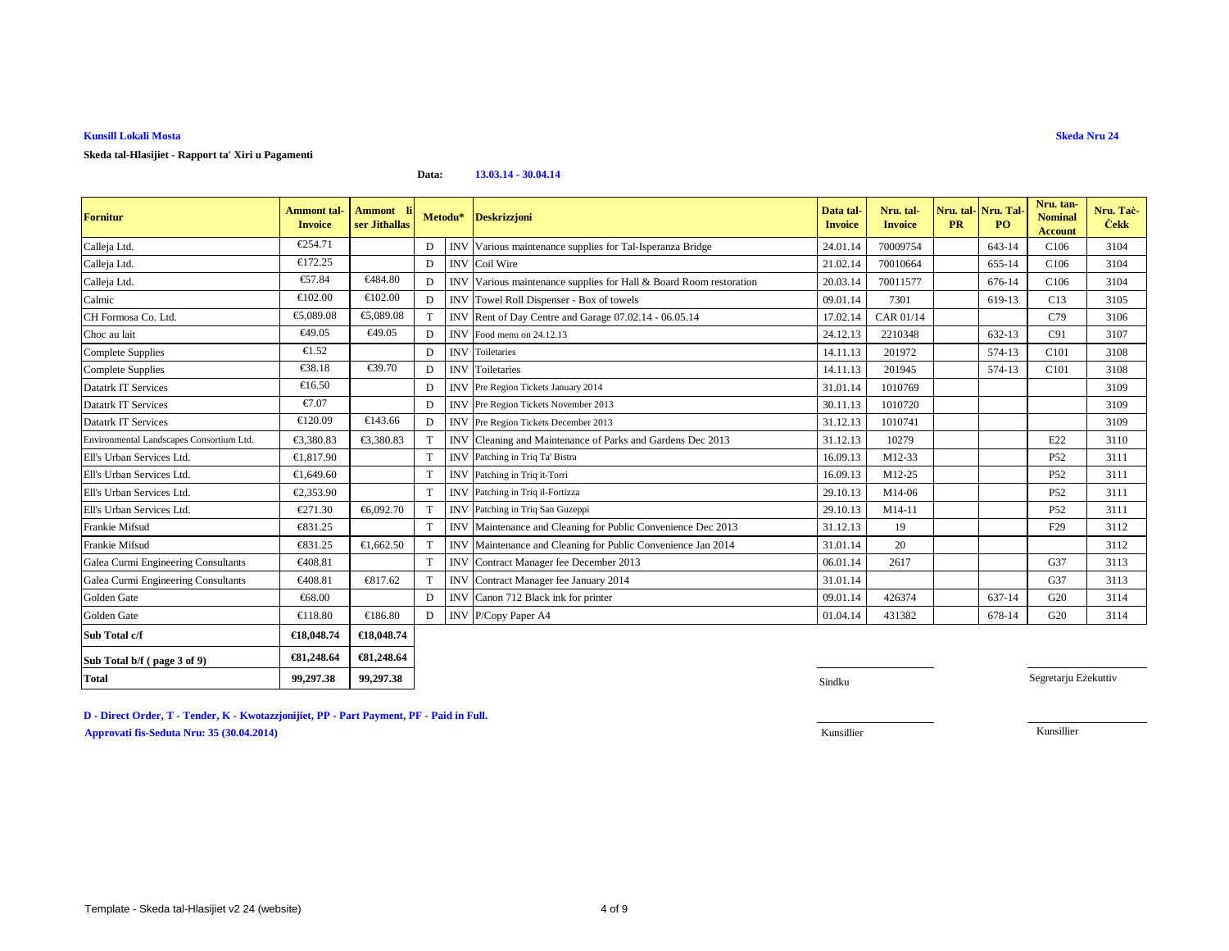### **Skeda tal-Hlasijiet - Rapport ta' Xiri u Pagamenti**

#### **Data:13.03.14 - 30.04.14**

| <b>Fornitur</b>                          | <b>Ammont</b> tal-<br><b>Invoice</b> | <b>Ammont</b><br>ser Jithallas |              | Metodu*    | <b>Deskrizzjoni</b>                                            | Data tal-<br><b>Invoice</b> | Nru. tal-<br><b>Invoice</b> | <b>PR</b> | Nru. tal-Nru. Tal-<br>P <sub>O</sub> | Nru. tan-<br><b>Nominal</b><br><b>Account</b> | Nru. Tač-<br><b>Cekk</b> |
|------------------------------------------|--------------------------------------|--------------------------------|--------------|------------|----------------------------------------------------------------|-----------------------------|-----------------------------|-----------|--------------------------------------|-----------------------------------------------|--------------------------|
| Calleja Ltd.                             | €254.71                              |                                | D            | <b>INV</b> | Various maintenance supplies for Tal-Isperanza Bridge          | 24.01.14                    | 70009754                    |           | 643-14                               | C <sub>106</sub>                              | 3104                     |
| Calleja Ltd.                             | €172.25                              |                                | D            |            | INV Coil Wire                                                  | 21.02.14                    | 70010664                    |           | 655-14                               | C <sub>106</sub>                              | 3104                     |
| Calleja Ltd.                             | €57.84                               | €484.80                        | D            | <b>INV</b> | Various maintenance supplies for Hall & Board Room restoration | 20.03.14                    | 70011577                    |           | 676-14                               | C <sub>106</sub>                              | 3104                     |
| Calmic                                   | €102.00                              | €102.00                        | D            | <b>INV</b> | Towel Roll Dispenser - Box of towels                           | 09.01.14                    | 7301                        |           | 619-13                               | C13                                           | 3105                     |
| CH Formosa Co. Ltd.                      | €5,089.08                            | €5,089.08                      | T            |            | INV Rent of Day Centre and Garage 07.02.14 - 06.05.14          | 17.02.14                    | CAR 01/14                   |           |                                      | C79                                           | 3106                     |
| Choc au lait                             | €49.05                               | €49.05                         | D            |            | INV Food menu on 24.12.13                                      | 24.12.13                    | 2210348                     |           | 632-13                               | C91                                           | 3107                     |
| Complete Supplies                        | €1.52                                |                                | D            | <b>INV</b> | Toiletaries                                                    | 14.11.13                    | 201972                      |           | 574-13                               | C <sub>101</sub>                              | 3108                     |
| <b>Complete Supplies</b>                 | $\epsilon$ 38.18                     | €39.70                         | D            |            | <b>INV</b> Toiletaries                                         | 14.11.13                    | 201945                      |           | 574-13                               | C101                                          | 3108                     |
| <b>Datatrk IT Services</b>               | €16.50                               |                                | D            | <b>INV</b> | Pre Region Tickets January 2014                                | 31.01.14                    | 1010769                     |           |                                      |                                               | 3109                     |
| Datatrk IT Services                      | €7.07                                |                                | D            |            | <b>INV</b> Pre Region Tickets November 2013                    | 30.11.13                    | 1010720                     |           |                                      |                                               | 3109                     |
| Datatrk IT Services                      | €120.09                              | €143.66                        | D            |            | INV Pre Region Tickets December 2013                           | 31.12.13                    | 1010741                     |           |                                      |                                               | 3109                     |
| Environmental Landscapes Consortium Ltd. | €3,380.83                            | €3.380.83                      |              | <b>INV</b> | Cleaning and Maintenance of Parks and Garden Dec 2013          | 31.12.13                    | 10279                       |           |                                      | E22                                           | 3110                     |
| Ell's Urban Services Ltd.                | €1,817.90                            |                                | T            |            | INV Patching in Triq Ta' Bistra                                | 16.09.13                    | M12-33                      |           |                                      | P <sub>52</sub>                               | 3111                     |
| Ell's Urban Services Ltd.                | €1,649.60                            |                                | $\mathbf T$  |            | <b>INV</b> Patching in Triq it-Torri                           | 16.09.13                    | M12-25                      |           |                                      | P <sub>52</sub>                               | 3111                     |
| Ell's Urban Services Ltd.                | €2,353.90                            |                                |              |            | INV Patching in Triq il-Fortizza                               | 29.10.13                    | M14-06                      |           |                                      | <b>P52</b>                                    | 3111                     |
| Ell's Urban Services Ltd.                | €271.30                              | €6,092.70                      |              |            | INV Patching in Triq San Guzeppi                               | 29.10.13                    | M14-11                      |           |                                      | P <sub>52</sub>                               | 3111                     |
| Frankie Mifsud                           | €831.25                              |                                | T            |            | INV Maintenance and Cleaning for PublicConvenience Dec 2013    | 31.12.13                    | 19                          |           |                                      | F <sub>29</sub>                               | 3112                     |
| Frankie Mifsud                           | €831.25                              | €1.662.50                      |              | <b>INV</b> | Maintenance and Cleaning for Pblic Convenience Jan 2014        | 31.01.14                    | 20                          |           |                                      |                                               | 3112                     |
| Galea Curmi Engineering Consultants      | €408.81                              |                                | $\mathsf{T}$ |            | INV Contract Manager fee December 2013                         | 06.01.14                    | 2617                        |           |                                      | G37                                           | 3113                     |
| Galea Curmi Engineering Consultants      | €408.81                              | €817.62                        |              | <b>INV</b> | Contract Minager fee January 2014                              | 31.01.14                    |                             |           |                                      | G37                                           | 3113                     |
| Golden Gate                              | €68.00                               |                                | D            |            | INV Canon 712 Black ink for printer                            | 09.01.14                    | 426374                      |           | 637-14                               | G20                                           | 3114                     |
| Golden Gate                              | €118.80                              | €186.80                        | D            |            | INV P/Copy Paper A4                                            | 01.04.14                    | 431382                      |           | 678-14                               | G20                                           | 3114                     |
| Sub Total c/f                            | €18,048.74                           | €18,048.74                     |              |            |                                                                |                             |                             |           |                                      |                                               |                          |
| Sub Total b/f (page 3 of 9)              | €81,248.64                           | €81,248.64                     |              |            |                                                                |                             |                             |           |                                      |                                               |                          |
| <b>Total</b>                             | 99,297.38                            | 99,297.38                      |              |            |                                                                | Sindku                      |                             |           |                                      | Segretarju Eżekuttiv                          |                          |

**D - Direct Order, T - Tender, K - Kwotazzjonijiet, PP - Part Payment, PF - Paid in Full.Approvati fis-Seduta Nru: 35 (30.04.2014)**Kunsillier Kunsillier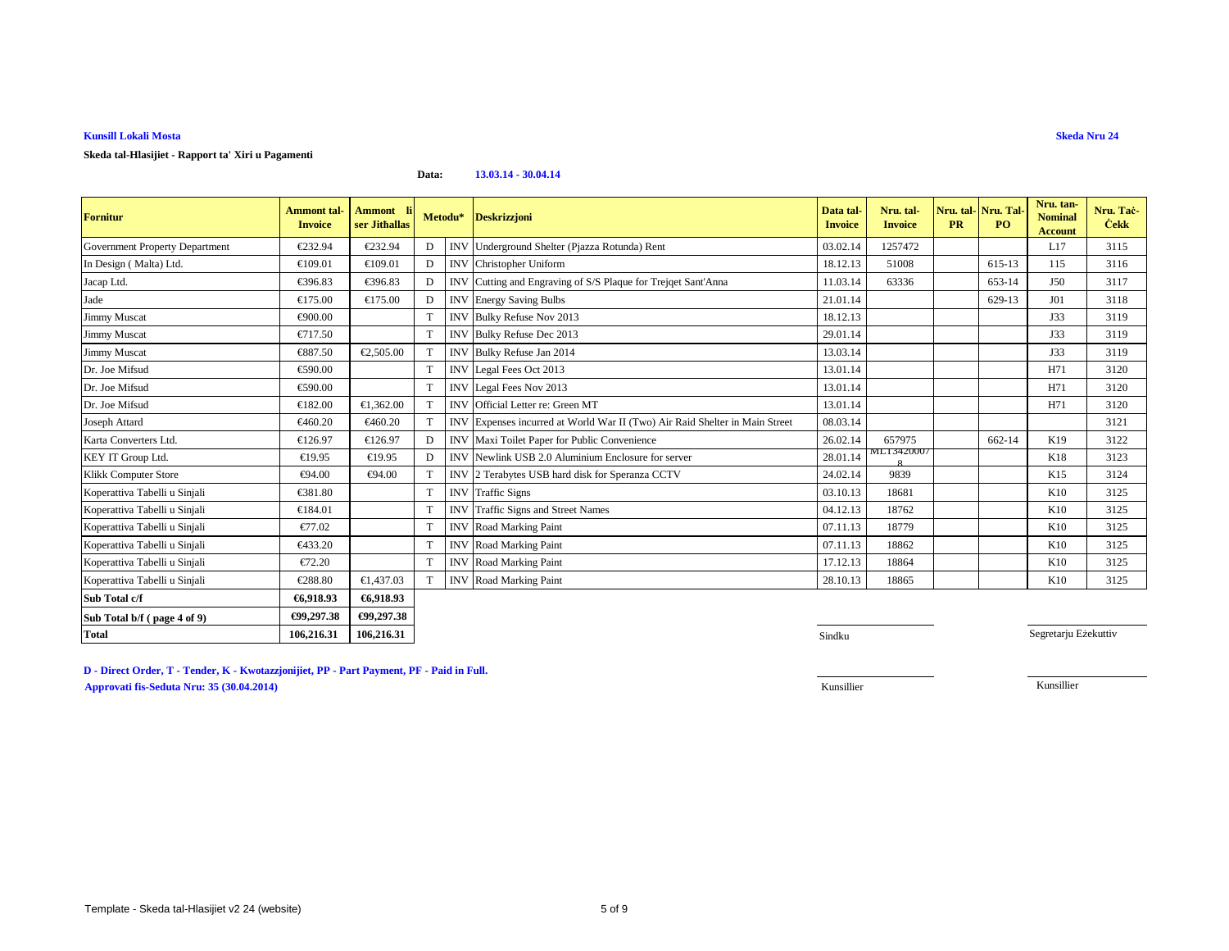### **Skeda tal-Hlasijiet - Rapport ta' Xiri u Pagamenti**

#### **Data:13.03.14 - 30.04.14**

| <b>Fornitur</b>                       | <b>Ammont</b> tal-<br><b>Invoice</b> | Ammont li<br>ser Jithallas |              |            | Metodu* Deskrizzjoni                                                    | Data tal-<br><b>Invoice</b> | Nru. tal-<br><b>Invoice</b> | <b>PR</b> | Nru. tal-Nru. Tal<br><b>PO</b> | Nru. tan-<br><b>Nominal</b><br><b>Account</b> | Nru. Tac-<br><b>Cekk</b> |
|---------------------------------------|--------------------------------------|----------------------------|--------------|------------|-------------------------------------------------------------------------|-----------------------------|-----------------------------|-----------|--------------------------------|-----------------------------------------------|--------------------------|
| <b>Government Property Department</b> | €232.94                              | €232.94                    | D            |            | INV Underground Shelter(Pjazza Rotunda) Rent                            | 03.02.14                    | 1257472                     |           |                                | L17                                           | 3115                     |
| In Design (Malta) Ltd.                | €109.01                              | €109.01                    | D            | <b>INV</b> | Christopher Uniform                                                     | 18.12.13                    | 51008                       |           | 615-13                         | 115                                           | 3116                     |
| Jacap Ltd.                            | €396.83                              | €396.83                    | D            | <b>INV</b> | Cutting and Engraving of S/S Plaque forTrejqet Sant'Anna                | 11.03.14                    | 63336                       |           | 653-14                         | J50                                           | 3117                     |
| Jade                                  | €175.00                              | €175.00                    | D            | <b>INV</b> | <b>Energy Saving Bulbs</b>                                              | 21.01.14                    |                             |           | 629-13                         | J <sub>01</sub>                               | 3118                     |
| <b>Jimmy Muscat</b>                   | €900.00                              |                            | T            |            | INV Bulky Refuse Nov 2013                                               | 18.12.13                    |                             |           |                                | J33                                           | 3119                     |
| <b>Jimmy Muscat</b>                   | €717.50                              |                            | T            |            | INV Bulky Refuse Dec 2013                                               | 29.01.14                    |                             |           |                                | J33                                           | 3119                     |
| Jimmy Muscat                          | €887.50                              | €2,505.00                  | T            | <b>INV</b> | Bulky Refuse Jan 2014                                                   | 13.03.14                    |                             |           |                                | J33                                           | 3119                     |
| Dr. Joe Mifsud                        | €590.00                              |                            | T            |            | INV Legal Fees Oct 2013                                                 | 13.01.14                    |                             |           |                                | H71                                           | 3120                     |
| Dr. Joe Mifsud                        | €590.00                              |                            |              |            | INV Legal Fees Nov 2013                                                 | 13.01.14                    |                             |           |                                | H71                                           | 3120                     |
| Dr. Joe Mifsud                        | €182.00                              | €1.362.00                  |              | <b>INV</b> | Official Letter re: Green MT                                            | 13.01.14                    |                             |           |                                | H71                                           | 3120                     |
| Joseph Attard                         | €460.20                              | €460.20                    | T            | <b>INV</b> | Expenses incurred at World War II (Tvo) Air Raid Shelter in Main Street | 08.03.14                    |                             |           |                                |                                               | 3121                     |
| Karta Converters Ltd.                 | €126.97                              | €126.97                    | $\mathbf{D}$ |            | INV Maxi Toilet Paper for PublicConvenience                             | 26.02.14                    | 657975                      |           | 662-14                         | K19                                           | 3122                     |
| KEY IT Group Ltd.                     | €19.95                               | €19.95                     | D            | <b>INV</b> | Newlink USB 2.0 Aluminium Enclosie for server                           | 28.01.14                    | MLI 3420007                 |           |                                | K18                                           | 3123                     |
| Klikk Computer Store                  | €94.00                               | €94.00                     |              | <b>INV</b> | 2 Terabytes USB hard disk for Spernza CCTV                              | 24.02.14                    | 9839                        |           |                                | K15                                           | 3124                     |
| Koperattiva Tabelli u Sinjali         | €381.80                              |                            | T            |            | <b>INV</b> Traffic Signs                                                | 03.10.13                    | 18681                       |           |                                | K10                                           | 3125                     |
| Koperattiva Tabelli u Sinjali         | €184.01                              |                            | T            | <b>INV</b> | Traffic Signs and Steet Names                                           | 04.12.13                    | 18762                       |           |                                | K10                                           | 3125                     |
| Koperattiva Tabelli u Sinjali         | €77.02                               |                            | T            |            | <b>INV</b> Road Marking Paint                                           | 07.11.13                    | 18779                       |           |                                | K10                                           | 3125                     |
| Koperattiva Tabelli u Sinjali         | €433.20                              |                            | $\mathsf{T}$ |            | <b>INV</b> Road Marking Paint                                           | 07.11.13                    | 18862                       |           |                                | K10                                           | 3125                     |
| Koperattiva Tabelli u Sinjali         | €72.20                               |                            |              |            | <b>INV</b> Road Marking Paint                                           | 17.12.13                    | 18864                       |           |                                | K10                                           | 3125                     |
| Koperattiva Tabelli u Sinjali         | €288.80                              | €1,437.03                  |              | <b>INV</b> | Road Marking Paint                                                      | 28.10.13                    | 18865                       |           |                                | K10                                           | 3125                     |
| Sub Total c/f                         | €6,918.93                            | €6,918.93                  |              |            |                                                                         |                             |                             |           |                                |                                               |                          |
| Sub Total b/f (page 4 of 9)           | €99,297.38                           | €99,297.38                 |              |            |                                                                         |                             |                             |           |                                |                                               |                          |
| <b>Total</b>                          | 106,216.31                           | 106,216.31                 |              |            |                                                                         | Sindku                      |                             |           |                                | Segretarju Eżekuttiv                          |                          |

**D - Direct Order, T - Tender, K - Kwotazzjonijiet, PP - Part Payment, PF - Paid in Full.Approvati fis-Seduta Nru: 35 (30.04.2014)**Kunsillier Kunsillier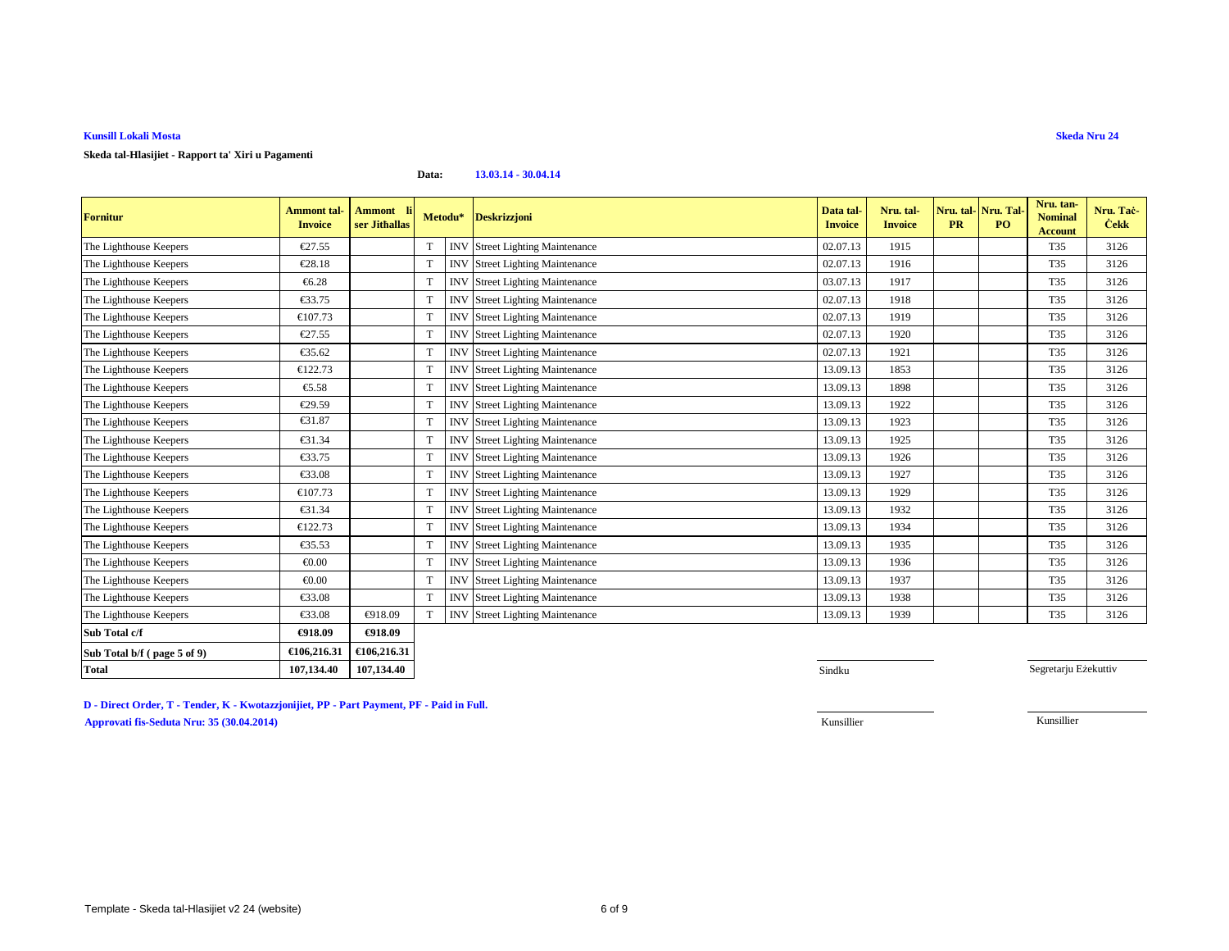#### **Data:13.03.14 - 30.04.14**

| <b>Fornitur</b>             | <b>Ammont</b> tal-<br><b>Invoice</b> | <b>Ammont</b><br>ser Jithallas |             |            | Metodu* Deskrizzjoni               | Data tal-<br><b>Invoice</b> | Nru. tal-<br><b>Invoice</b> | Nru. tal-<br><b>PR</b> | Nru. Tal<br>PO <sub>1</sub> | Nru. tan-<br><b>Nominal</b><br><b>Account</b> | Nru. Tač-<br><b>Cekk</b> |
|-----------------------------|--------------------------------------|--------------------------------|-------------|------------|------------------------------------|-----------------------------|-----------------------------|------------------------|-----------------------------|-----------------------------------------------|--------------------------|
| The Lighthouse Keepers      | €27.55                               |                                | T           | <b>INV</b> | <b>Street Lighting Maintenance</b> | 02.07.13                    | 1915                        |                        |                             | T35                                           | 3126                     |
| The Lighthouse Keepers      | €28.18                               |                                | T           | <b>INV</b> | <b>Street Lighting Maintenance</b> | 02.07.13                    | 1916                        |                        |                             | T35                                           | 3126                     |
| The Lighthouse Keepers      | €6.28                                |                                | T           | <b>INV</b> | <b>Street Lighting Maintenance</b> | 03.07.13                    | 1917                        |                        |                             | T35                                           | 3126                     |
| The Lighthouse Keepers      | €33.75                               |                                | T           | <b>INV</b> | <b>Street Lighting Maintenance</b> | 02.07.13                    | 1918                        |                        |                             | T35                                           | 3126                     |
| The Lighthouse Keepers      | €107.73                              |                                | T           | <b>INV</b> | <b>Street Lighting Maintenance</b> | 02.07.13                    | 1919                        |                        |                             | T35                                           | 3126                     |
| The Lighthouse Keepers      | €27.55                               |                                | T           | <b>INV</b> | <b>Street Lighting Maintenance</b> | 02.07.13                    | 1920                        |                        |                             | T35                                           | 3126                     |
| The Lighthouse Keepers      | €35.62                               |                                | T           | <b>INV</b> | <b>Street Lighting Maintenance</b> | 02.07.13                    | 1921                        |                        |                             | T35                                           | 3126                     |
| The Lighthouse Keepers      | €122.73                              |                                | T           | <b>INV</b> | <b>Street Lighting Maintenance</b> | 13.09.13                    | 1853                        |                        |                             | T35                                           | 3126                     |
| The Lighthouse Keepers      | €5.58                                |                                | T           | <b>INV</b> | <b>Street Lighting Maintenance</b> | 13.09.13                    | 1898                        |                        |                             | T35                                           | 3126                     |
| The Lighthouse Keepers      | €29.59                               |                                | T           | <b>INV</b> | <b>Street Lighting Maintenance</b> | 13.09.13                    | 1922                        |                        |                             | T35                                           | 3126                     |
| The Lighthouse Keepers      | €31.87                               |                                | T           | <b>INV</b> | <b>Street Lighting Maintenance</b> | 13.09.13                    | 1923                        |                        |                             | T35                                           | 3126                     |
| The Lighthouse Keepers      | €31.34                               |                                | T           | <b>INV</b> | <b>Street Lighting Maintenance</b> | 13.09.13                    | 1925                        |                        |                             | T35                                           | 3126                     |
| The Lighthouse Keepers      | €33.75                               |                                | T           | <b>INV</b> | <b>Street Lighting Maintenance</b> | 13.09.13                    | 1926                        |                        |                             | T35                                           | 3126                     |
| The Lighthouse Keepers      | €33.08                               |                                | T           | <b>INV</b> | <b>Street Lighting Maintenance</b> | 13.09.13                    | 1927                        |                        |                             | T35                                           | 3126                     |
| The Lighthouse Keepers      | €107.73                              |                                | T           | <b>INV</b> | <b>Street Lighting Maintenance</b> | 13.09.13                    | 1929                        |                        |                             | T35                                           | 3126                     |
| The Lighthouse Keepers      | €31.34                               |                                | T           | <b>INV</b> | <b>Street Lighting Maintenance</b> | 13.09.13                    | 1932                        |                        |                             | T35                                           | 3126                     |
| The Lighthouse Keepers      | €122.73                              |                                | T           | <b>INV</b> | <b>Street Lighting Maintenance</b> | 13.09.13                    | 1934                        |                        |                             | T35                                           | 3126                     |
| The Lighthouse Keepers      | €35.53                               |                                | T           | <b>INV</b> | <b>Street Lighting Maintenance</b> | 13.09.13                    | 1935                        |                        |                             | T35                                           | 3126                     |
| The Lighthouse Keepers      | € $0.00$                             |                                | T           | <b>INV</b> | <b>Street Lighting Maintenance</b> | 13.09.13                    | 1936                        |                        |                             | T35                                           | 3126                     |
| The Lighthouse Keepers      | € $0.00$                             |                                | T           | <b>INV</b> | <b>Street Lighting Maintenance</b> | 13.09.13                    | 1937                        |                        |                             | T35                                           | 3126                     |
| The Lighthouse Keepers      | $\epsilon$ 33.08                     |                                | T           | <b>INV</b> | <b>Street Lighting Maintenance</b> | 13.09.13                    | 1938                        |                        |                             | T35                                           | 3126                     |
| The Lighthouse Keepers      | €33.08                               | €918.09                        | $\mathbf T$ | <b>INV</b> | <b>Street Lighting Maintennce</b>  | 13.09.13                    | 1939                        |                        |                             | T35                                           | 3126                     |
| Sub Total c/f               | €918.09                              | €918.09                        |             |            |                                    |                             |                             |                        |                             |                                               |                          |
| Sub Total b/f (page 5 of 9) | €106,216.31                          | €106,216.31                    |             |            |                                    |                             |                             |                        |                             |                                               |                          |
| <b>Total</b>                | 107,134.40                           | 107,134.40                     |             |            |                                    | Sindku                      |                             |                        |                             | Segretarju Eżekuttiv                          |                          |

**D - Direct Order, T - Tender, K - Kwotazzjonijiet, PP - Part Payment, PF - Paid in Full.Approvati fis-Seduta Nru: 35 (30.04.2014)**Kunsillier Kunsillier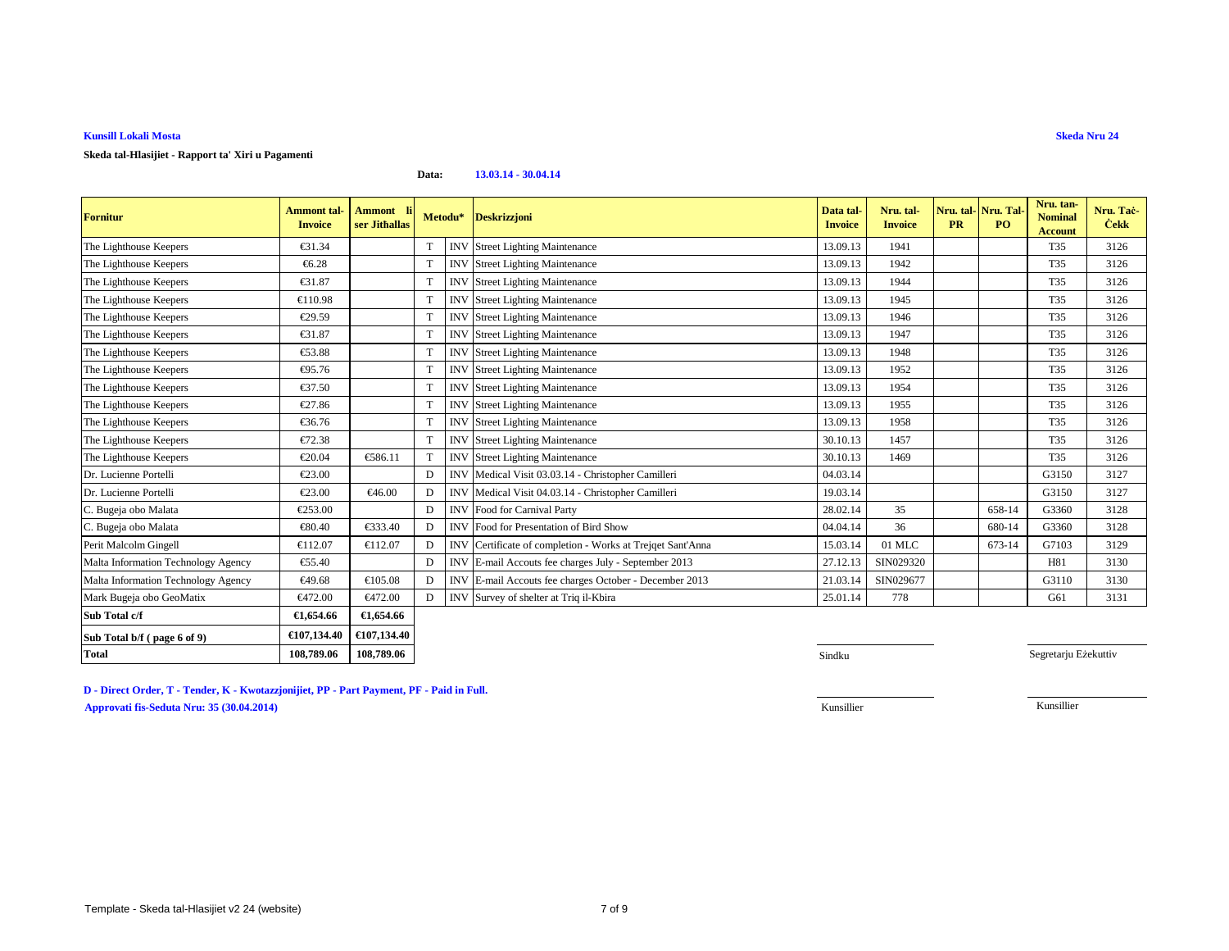### **Skeda tal-Hlasijiet - Rapport ta' Xiri u Pagamenti**

#### **Data:13.03.14 - 30.04.14**

| <b>Fornitur</b>                     | <b>Ammont tal-</b><br><b>Invoice</b> | <b>Ammont</b><br>ser Jithallas |              | Metodu*    | <b>Deskrizzjoni</b>                                  | Data tal<br><b>Invoice</b> | Nru. tal-<br><b>Invoice</b> | <b>PR</b> | Nru. tal- Nru. Tal<br><b>PO</b> | Nru. tan-<br><b>Nominal</b><br><b>Account</b> | Nru. Tac-<br><b>Cekk</b> |
|-------------------------------------|--------------------------------------|--------------------------------|--------------|------------|------------------------------------------------------|----------------------------|-----------------------------|-----------|---------------------------------|-----------------------------------------------|--------------------------|
| The Lighthouse Keepers              | €31.34                               |                                |              |            | <b>INV</b> Street Lighting Maintenance               | 13.09.13                   | 1941                        |           |                                 | T35                                           | 3126                     |
| The Lighthouse Keepers              | €6.28                                |                                |              | <b>INV</b> | <b>Street Lighting Maintenance</b>                   | 13.09.13                   | 1942                        |           |                                 | T35                                           | 3126                     |
| The Lighthouse Keepers              | €31.87                               |                                |              | <b>INV</b> | <b>Street Lighting Maintenance</b>                   | 13.09.13                   | 1944                        |           |                                 | T35                                           | 3126                     |
| The Lighthouse Keepers              | €110.98                              |                                | T            | <b>INV</b> | <b>Street Lighting Maintenance</b>                   | 13.09.13                   | 1945                        |           |                                 | T35                                           | 3126                     |
| The Lighthouse Keepers              | €29.59                               |                                |              | <b>INV</b> | <b>Street Lighting Maintenance</b>                   | 13.09.13                   | 1946                        |           |                                 | T35                                           | 3126                     |
| The Lighthouse Keepers              | €31.87                               |                                | T            | <b>INV</b> | <b>Street Lighting Maintenance</b>                   | 13.09.13                   | 1947                        |           |                                 | T35                                           | 3126                     |
| The Lighthouse Keepers              | €53.88                               |                                |              | <b>INV</b> | <b>Street Lighting Maintenance</b>                   | 13.09.13                   | 1948                        |           |                                 | T35                                           | 3126                     |
| The Lighthouse Keepers              | €95.76                               |                                |              | <b>INV</b> | <b>Street Lighting Maintenance</b>                   | 13.09.13                   | 1952                        |           |                                 | T35                                           | 3126                     |
| The Lighthouse Keepers              | €37.50                               |                                | T            | <b>INV</b> | <b>Street Lighting Maintenance</b>                   | 13.09.13                   | 1954                        |           |                                 | T35                                           | 3126                     |
| The Lighthouse Keepers              | €27.86                               |                                | $\mathbf{T}$ | <b>INV</b> | <b>Street Lighting Maintenance</b>                   | 13.09.13                   | 1955                        |           |                                 | T35                                           | 3126                     |
| The Lighthouse Keepers              | €36.76                               |                                | T            | <b>INV</b> | <b>Street Lighting Maintenance</b>                   | 13.09.13                   | 1958                        |           |                                 | T35                                           | 3126                     |
| The Lighthouse Keepers              | €72.38                               |                                |              | <b>INV</b> | <b>Street Lighting Maintenance</b>                   | 30.10.13                   | 1457                        |           |                                 | T35                                           | 3126                     |
| The Lighthouse Keepers              | €20.04                               | €586.11                        |              | <b>INV</b> | <b>Street Lighting Maintennce</b>                    | 30.10.13                   | 1469                        |           |                                 | T35                                           | 3126                     |
| Dr. Lucienne Portelli               | €23.00                               |                                | D            | <b>INV</b> | Medical Visit 03.03.14 - Christopher Camilleri       | 04.03.14                   |                             |           |                                 | G3150                                         | 3127                     |
| Dr. Lucienne Portelli               | €23.00                               | €46.00                         | D            | <b>INV</b> | Medical Visit 04.03.14 - Chritopher Camilleri        | 19.03.14                   |                             |           |                                 | G3150                                         | 3127                     |
| C. Bugeja obo Malata                | €253.00                              |                                | D            | <b>INV</b> | Food for Carnival Party                              | 28.02.14                   | 35                          |           | 658-14                          | G3360                                         | 3128                     |
| C. Bugeja obo Malata                | €80.40                               | €333.40                        |              | <b>INV</b> | Food for Presentation of Bird Show                   | 04.04.14                   | 36                          |           | 680-14                          | G3360                                         | 3128                     |
| Perit Malcolm Gingell               | €112.07                              | €112.07                        |              | <b>INV</b> | Certificate of completion Works at Trejqet Sant'Anna | 15.03.14                   | 01 MLC                      |           | 673-14                          | G7103                                         | 3129                     |
| Malta Information Technology Agency | €55.40                               |                                | D            | <b>INV</b> | E-mail Accoutsfee charges July - September 2013      | 27.12.13                   | SIN029320                   |           |                                 | H81                                           | 3130                     |
| Malta Information Technology Agency | €49.68                               | €105.08                        |              | <b>INV</b> | E-mail Accout fee charges October - December 2013    | 21.03.14                   | SIN029677                   |           |                                 | G3110                                         | 3130                     |
| Mark Bugeja obo GeoMatix            | €472.00                              | €472.00                        |              | <b>INV</b> | Survey of shelter at Triql-Kbira                     | 25.01.14                   | 778                         |           |                                 | G61                                           | 3131                     |
| Sub Total c/f                       | €1,654.66                            | €1,654.66                      |              |            |                                                      |                            |                             |           |                                 |                                               |                          |
| Sub Total b/f (page 6 of 9)         | €107,134.40                          | €107,134.40                    |              |            |                                                      |                            |                             |           |                                 |                                               |                          |
| <b>Total</b>                        | 108,789.06                           | 108,789.06                     |              |            |                                                      | Sindku                     |                             |           |                                 | Segretarju Eżekuttiv                          |                          |

**Skeda Nru 24**

**D - Direct Order, T - Tender, K - Kwotazzjonijiet, PP - Part Payment, PF - Paid in Full.Approvati fis-Seduta Nru: 35 (30.04.2014)**Kunsillier Kunsillier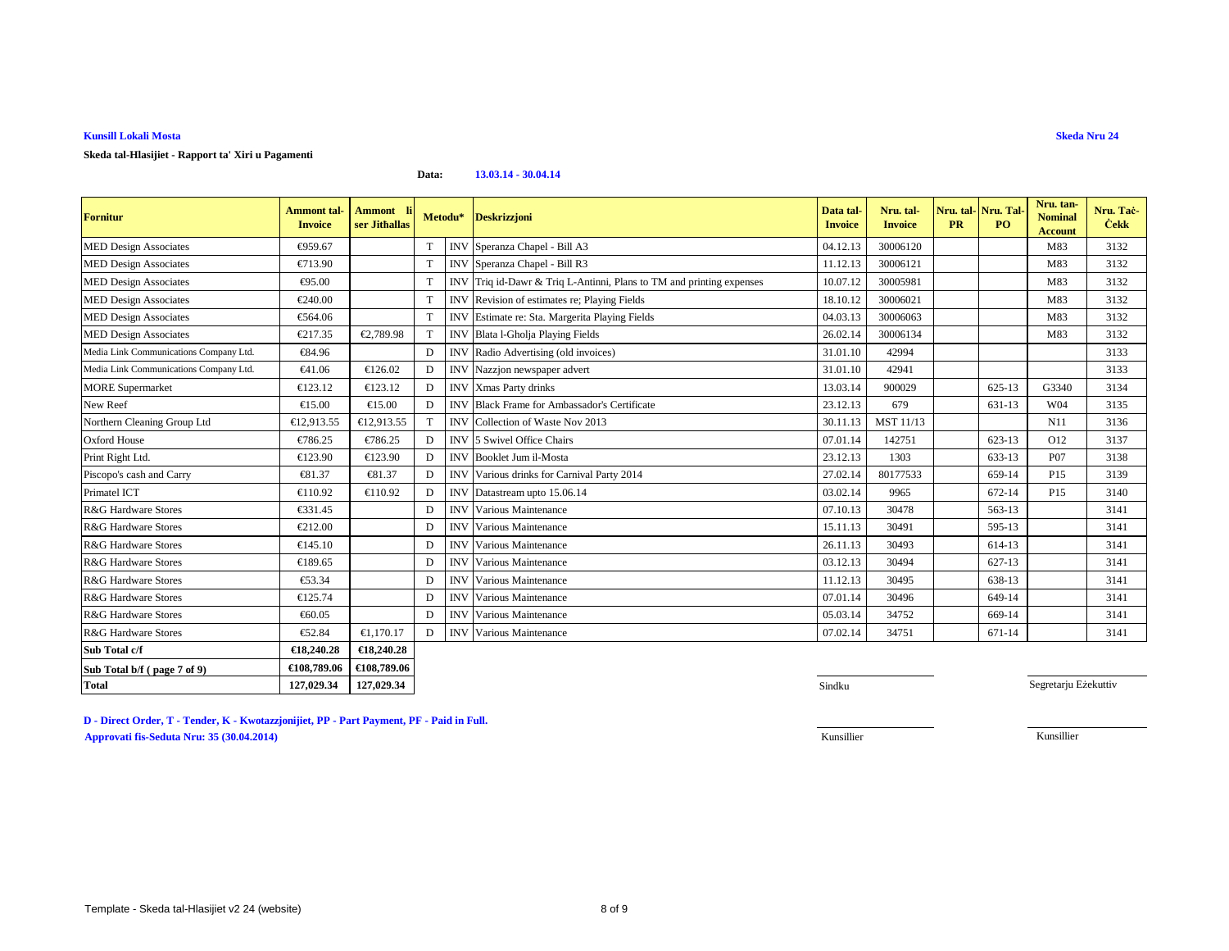### **Skeda tal-Hlasijiet - Rapport ta' Xiri u Pagamenti**

#### **Data:13.03.14 - 30.04.14**

| <b>Fornitur</b>                        | <b>Ammont tal-</b><br><b>Invoice</b> | Ammont li<br>ser Jithallas |    |            | Metodu* Deskrizzjoni                                            | Data tal-<br><b>Invoice</b> | Nru. tal-<br><b>Invoice</b> | Nru. tal-Nru. Tal<br><b>PR</b> | PO.        | Nru. tan-<br><b>Nominal</b><br><b>Account</b> | Nru. Tač-<br><b>Cekk</b> |
|----------------------------------------|--------------------------------------|----------------------------|----|------------|-----------------------------------------------------------------|-----------------------------|-----------------------------|--------------------------------|------------|-----------------------------------------------|--------------------------|
| <b>MED Design Associates</b>           | €959.67                              |                            | T  | <b>INV</b> | Speranza Chapel - Bill A3                                       | 04.12.13                    | 30006120                    |                                |            | M83                                           | 3132                     |
| <b>MED Design Associates</b>           | €713.90                              |                            | T  | <b>INV</b> | Speranza Chapel - Bill R3                                       | 11.12.13                    | 30006121                    |                                |            | M83                                           | 3132                     |
| <b>MED Design Associates</b>           | €95.00                               |                            | T  | <b>INV</b> | Triq id-Dawr & Triq L-Antinn, Plans to TM and printing expenses | 10.07.12                    | 30005981                    |                                |            | M83                                           | 3132                     |
| <b>MED Design Associates</b>           | €240.00                              |                            | T  | <b>INV</b> | Revision of estimates re; Haying Fields                         | 18.10.12                    | 30006021                    |                                |            | M83                                           | 3132                     |
| <b>MED Design Associates</b>           | €564.06                              |                            | T  | <b>INV</b> | Estimate re: Sta. Margeria Playing Fields                       | 04.03.13                    | 30006063                    |                                |            | M83                                           | 3132                     |
| <b>MED Design Associates</b>           | €217.35                              | €2.789.98                  |    | <b>INV</b> | Blata l-Gholja PlayingFields                                    | 26.02.14                    | 30006134                    |                                |            | M83                                           | 3132                     |
| Media Link Communications Company Ltd. | €84.96                               |                            | D  | <b>INV</b> | Radio Advertising (old invoices)                                | 31.01.10                    | 42994                       |                                |            |                                               | 3133                     |
| Media Link Communications Company Ltd. | €41.06                               | €126.02                    | D  | <b>INV</b> | Nazzjon newspaper advert                                        | 31.01.10                    | 42941                       |                                |            |                                               | 3133                     |
| <b>MORE</b> Supermarket                | €123.12                              | €123.12                    | D. | <b>INV</b> | Xmas Party drinks                                               | 13.03.14                    | 900029                      |                                | 625-13     | G3340                                         | 3134                     |
| New Reef                               | $\epsilon$ 15.00                     | €15.00                     | D  | <b>INV</b> | <b>Black Frame for Ambassador's Certificate</b>                 | 23.12.13                    | 679                         |                                | 631-13     | W04                                           | 3135                     |
| Northern Cleaning Group Ltd            | €12,913.55                           | €12,913.55                 |    | <b>INV</b> | Collection of WasteNov 2013                                     | 30.11.13                    | MST 11/13                   |                                |            | N11                                           | 3136                     |
| <b>Oxford House</b>                    | €786.25                              | €786.25                    | D  | <b>INV</b> | 5 Swivel Office Chairs                                          | 07.01.14                    | 142751                      |                                | 623-13     | O12                                           | 3137                     |
| Print Right Ltd.                       | €123.90                              | €123.90                    | D  | <b>INV</b> | Booklet Jum il-Mosta                                            | 23.12.13                    | 1303                        |                                | 633-13     | P07                                           | 3138                     |
| Piscopo's cash and Carry               | €81.37                               | €81.37                     | D  | <b>INV</b> | Various drinks for CarnivaParty 2014                            | 27.02.14                    | 80177533                    |                                | 659-14     | P15                                           | 3139                     |
| Primatel ICT                           | €110.92                              | €110.92                    | D  | <b>INV</b> | Datastream upto 15.06.14                                        | 03.02.14                    | 9965                        |                                | 672-14     | P15                                           | 3140                     |
| R&G Hardware Stores                    | €331.45                              |                            | D  | <b>INV</b> | Various Maintenance                                             | 07.10.13                    | 30478                       |                                | 563-13     |                                               | 3141                     |
| R&G Hardware Stores                    | €212.00                              |                            | D  | <b>INV</b> | Various Maintenance                                             | 15.11.13                    | 30491                       |                                | 595-13     |                                               | 3141                     |
| R&G Hardware Stores                    | €145.10                              |                            | D  | <b>INV</b> | Various Maintenance                                             | 26.11.13                    | 30493                       |                                | 614-13     |                                               | 3141                     |
| R&G Hardware Stores                    | €189.65                              |                            | D  | <b>INV</b> | Various Maintenance                                             | 03.12.13                    | 30494                       |                                | $627 - 13$ |                                               | 3141                     |
| R&G Hardware Stores                    | €53.34                               |                            | D  | <b>INV</b> | Various Maintenance                                             | 11.12.13                    | 30495                       |                                | 638-13     |                                               | 3141                     |
| R&G Hardware Stores                    | €125.74                              |                            | D  | <b>INV</b> | Various Maintenance                                             | 07.01.14                    | 30496                       |                                | 649-14     |                                               | 3141                     |
| R&G Hardware Stores                    | €60.05                               |                            | D  | <b>INV</b> | Various Maintenance                                             | 05.03.14                    | 34752                       |                                | 669-14     |                                               | 3141                     |
| R&G Hardware Stores                    | €52.84                               | €1,170.17                  | D  | <b>INV</b> | Various Maintenance                                             | 07.02.14                    | 34751                       |                                | 671-14     |                                               | 3141                     |
| Sub Total c/f                          | €18,240.28                           | €18,240.28                 |    |            |                                                                 |                             |                             |                                |            |                                               |                          |
| Sub Total b/f (page 7 of 9)            | €108,789.06                          | €108,789.06                |    |            |                                                                 |                             |                             |                                |            |                                               |                          |
| <b>Total</b>                           | 127,029.34                           | 127,029.34                 |    |            |                                                                 | Sindku                      |                             |                                |            | Segretarju Eżekuttiv                          |                          |

**D - Direct Order, T - Tender, K - Kwotazzjonijiet, PP - Part Payment, PF - Paid in Full.Approvati fis-Seduta Nru: 35 (30.04.2014)**en de la constantin de la constantin de la constantin de la constantin de la constantin de la constantin de la constantin de la constantin de la constantin de la constantin de la constantin de la constantin de la constanti

**4** Sindku

Kunsillier